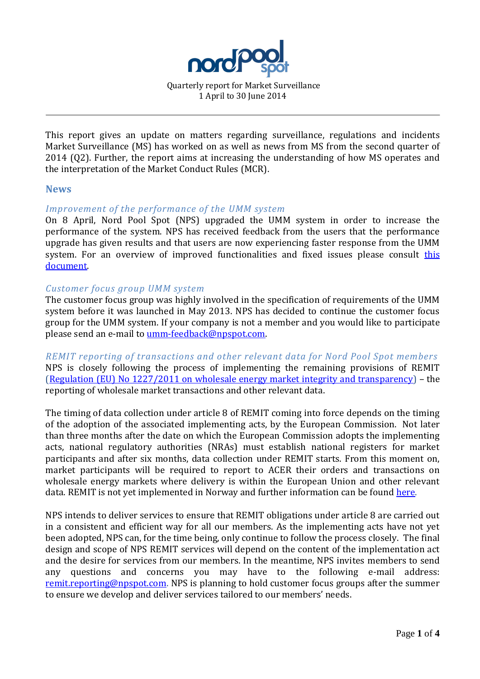

Quarterly report for Market Surveillance 1 April to 30 June 2014

This report gives an update on matters regarding surveillance, regulations and incidents Market Surveillance (MS) has worked on as well as news from MS from the second quarter of 2014 (Q2). Further, the report aims at increasing the understanding of how MS operates and the interpretation of the Market Conduct Rules (MCR).

#### **News**

## *Improvement of the performance of the UMM system*

On 8 April, Nord Pool Spot (NPS) upgraded the UMM system in order to increase the performance of the system. NPS has received feedback from the users that the performance upgrade has given results and that users are now experiencing faster response from the UMM system. For an overview of improved functionalities and fixed issues please consult this [document.](http://www.nordpoolspot.com/Global/UMM/Deployment-history-UMM-system.pdf)

## *Customer focus group UMM system*

The customer focus group was highly involved in the specification of requirements of the UMM system before it was launched in May 2013. NPS has decided to continue the customer focus group for the UMM system. If your company is not a member and you would like to participate please send an e-mail to [umm-feedback@npspot.com.](mailto:umm-feedback@npspot.com)

*REMIT reporting of transactions and other relevant data for Nord Pool Spot members* NPS is closely following the process of implementing the remaining provisions of REMIT [\(Regulation \(EU\) No 1227/2011 on wholesale energy market integrity and transparency\)](http://eur-lex.europa.eu/LexUriServ/LexUriServ.do?uri=OJ:L:2011:326:0001:0016:en:PDF) – the reporting of wholesale market transactions and other relevant data.

The timing of data collection under article 8 of REMIT coming into force depends on the timing of the adoption of the associated implementing acts, by the European Commission. Not later than three months after the date on which the European Commission adopts the implementing acts, national regulatory authorities (NRAs) must establish national registers for market participants and after six months, data collection under REMIT starts. From this moment on, market participants will be required to report to ACER their orders and transactions on wholesale energy markets where delivery is within the European Union and other relevant data. REMIT is not yet implemented in Norway and further information can be foun[d here.](http://www.nve.no/no/Nyhetsarkiv-/Nyheter/Registrering-av-markedsaktorer-etter-REMIT/)

NPS intends to deliver services to ensure that REMIT obligations under article 8 are carried out in a consistent and efficient way for all our members. As the implementing acts have not yet been adopted, NPS can, for the time being, only continue to follow the process closely. The final design and scope of NPS REMIT services will depend on the content of the implementation act and the desire for services from our members. In the meantime, NPS invites members to send any questions and concerns you may have to the following e-mail address: [remit.reporting@npspot.com.](mailto:remit.reporting@npspot.com) NPS is planning to hold customer focus groups after the summer to ensure we develop and deliver services tailored to our members' needs.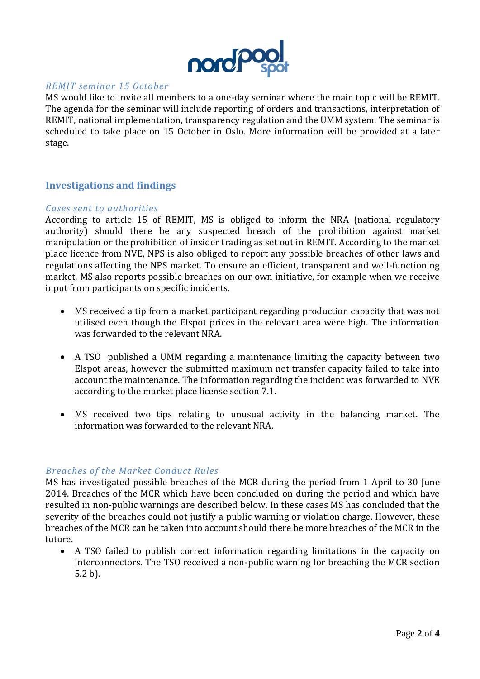

### *REMIT seminar 15 October*

MS would like to invite all members to a one-day seminar where the main topic will be REMIT. The agenda for the seminar will include reporting of orders and transactions, interpretation of REMIT, national implementation, transparency regulation and the UMM system. The seminar is scheduled to take place on 15 October in Oslo. More information will be provided at a later stage.

# **Investigations and findings**

#### *Cases sent to authorities*

According to article 15 of REMIT, MS is obliged to inform the NRA (national regulatory authority) should there be any suspected breach of the prohibition against market manipulation or the prohibition of insider trading as set out in REMIT. According to the market place licence from NVE, NPS is also obliged to report any possible breaches of other laws and regulations affecting the NPS market. To ensure an efficient, transparent and well-functioning market, MS also reports possible breaches on our own initiative, for example when we receive input from participants on specific incidents.

- MS received a tip from a market participant regarding production capacity that was not utilised even though the Elspot prices in the relevant area were high. The information was forwarded to the relevant NRA.
- A TSO published a UMM regarding a maintenance limiting the capacity between two Elspot areas, however the submitted maximum net transfer capacity failed to take into account the maintenance. The information regarding the incident was forwarded to NVE according to the market place license section 7.1.
- MS received two tips relating to unusual activity in the balancing market. The information was forwarded to the relevant NRA.

## *Breaches of the Market Conduct Rules*

MS has investigated possible breaches of the MCR during the period from 1 April to 30 June 2014. Breaches of the MCR which have been concluded on during the period and which have resulted in non-public warnings are described below. In these cases MS has concluded that the severity of the breaches could not justify a public warning or violation charge. However, these breaches of the MCR can be taken into account should there be more breaches of the MCR in the future.

 A TSO failed to publish correct information regarding limitations in the capacity on interconnectors. The TSO received a non-public warning for breaching the MCR section 5.2 b).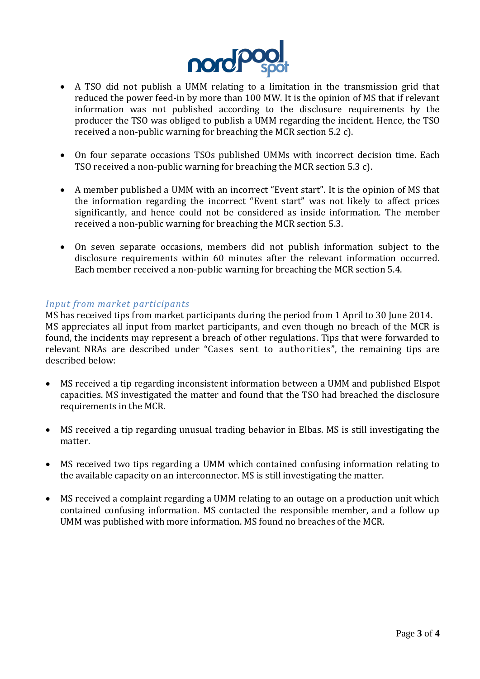

- A TSO did not publish a UMM relating to a limitation in the transmission grid that reduced the power feed-in by more than 100 MW. It is the opinion of MS that if relevant information was not published according to the disclosure requirements by the producer the TSO was obliged to publish a UMM regarding the incident. Hence, the TSO received a non-public warning for breaching the MCR section 5.2 c).
- On four separate occasions TSOs published UMMs with incorrect decision time. Each TSO received a non-public warning for breaching the MCR section 5.3 c).
- A member published a UMM with an incorrect "Event start". It is the opinion of MS that the information regarding the incorrect "Event start" was not likely to affect prices significantly, and hence could not be considered as inside information. The member received a non-public warning for breaching the MCR section 5.3.
- On seven separate occasions, members did not publish information subject to the disclosure requirements within 60 minutes after the relevant information occurred. Each member received a non-public warning for breaching the MCR section 5.4.

# *Input from market participants*

MS has received tips from market participants during the period from 1 April to 30 June 2014. MS appreciates all input from market participants, and even though no breach of the MCR is found, the incidents may represent a breach of other regulations. Tips that were forwarded to relevant NRAs are described under "Cases sent to authorities", the remaining tips are described below:

- MS received a tip regarding inconsistent information between a UMM and published Elspot capacities. MS investigated the matter and found that the TSO had breached the disclosure requirements in the MCR.
- MS received a tip regarding unusual trading behavior in Elbas. MS is still investigating the matter.
- MS received two tips regarding a UMM which contained confusing information relating to the available capacity on an interconnector. MS is still investigating the matter.
- MS received a complaint regarding a UMM relating to an outage on a production unit which contained confusing information. MS contacted the responsible member, and a follow up UMM was published with more information. MS found no breaches of the MCR.